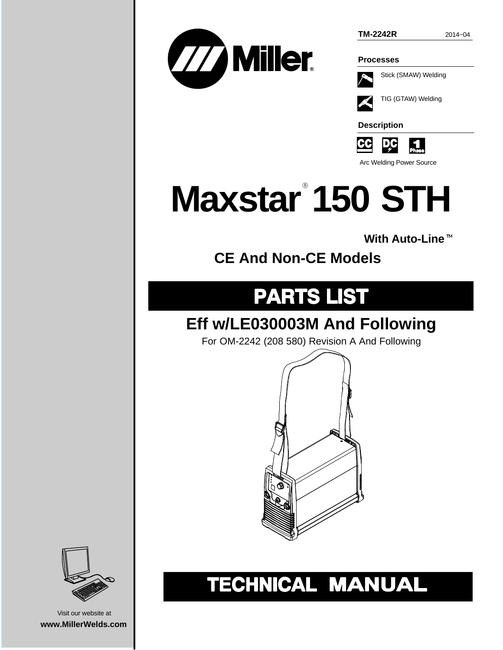



**Processes**



TIG (GTAW) Welding

**Description**



Arc Welding Power Source

## **Maxstar 150 STH** -

**With Auto-Line**-

**CE And Non-CE Models**

### **PARTS LIST**

### **Eff w/LE030003M And Following**

For OM-2242 (208 580) Revision A And Following



## TECHNICAL MANUAL



Visit our website at **www.MillerWelds.com**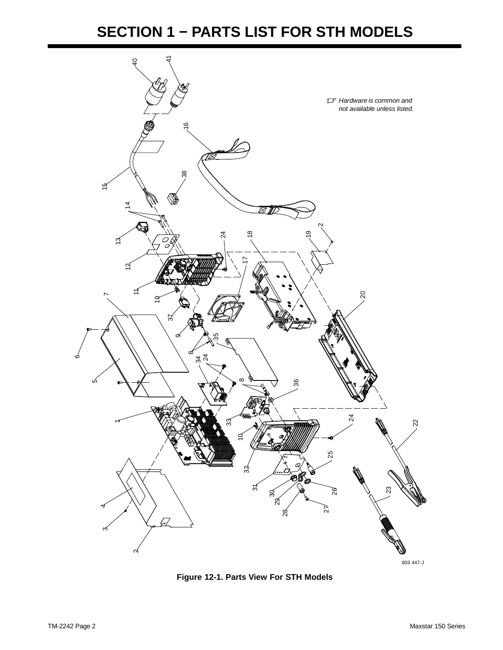#### **SECTION 1 − PARTS LIST FOR STH MODELS**



**Figure 12-1. Parts View For STH Models**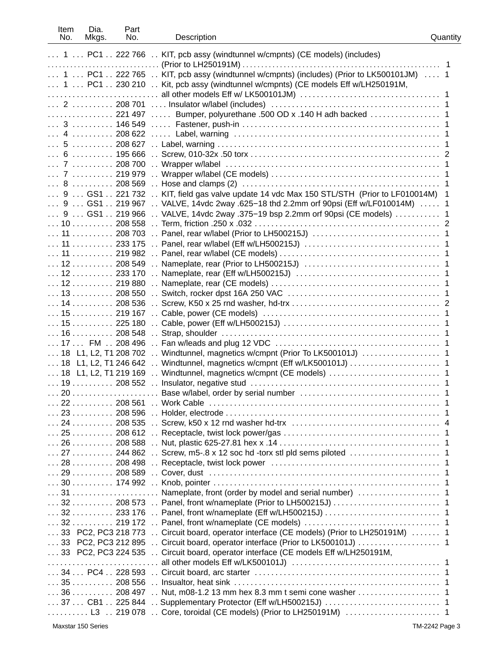| Item<br>No.     | Dia.<br>Mkgs.                             | Part<br>No. | Description                                                                                                                                      | Quantity |
|-----------------|-------------------------------------------|-------------|--------------------------------------------------------------------------------------------------------------------------------------------------|----------|
|                 |                                           |             | 1  PC1  222 766  KIT, pcb assy (windtunnel w/cmpnts) (CE models) (includes)                                                                      |          |
|                 |                                           |             |                                                                                                                                                  |          |
|                 |                                           |             | 1  PC1  222 765  KIT, pcb assy (windtunnel w/cmpnts) (includes) (Prior to LK500101JM)  1                                                         |          |
|                 |                                           |             | 1  PC1  230 210  Kit, pcb assy (windtunnel w/cmpnts) (CE models Eff w/LH250191M,                                                                 |          |
|                 |                                           |             |                                                                                                                                                  |          |
|                 |                                           |             |                                                                                                                                                  |          |
|                 |                                           |             |                                                                                                                                                  |          |
|                 |                                           |             |                                                                                                                                                  |          |
|                 |                                           |             |                                                                                                                                                  |          |
|                 |                                           |             |                                                                                                                                                  |          |
|                 |                                           |             |                                                                                                                                                  |          |
|                 |                                           |             |                                                                                                                                                  |          |
|                 |                                           |             |                                                                                                                                                  |          |
|                 | . 8                                       |             |                                                                                                                                                  |          |
|                 |                                           |             | 9  GS1  221 732  KIT, field gas valve update 14 vdc Max 150 STL/STH (Prior to LF010014M)                                                         | 1        |
|                 |                                           |             | 9  GS1  219 967  VALVE, 14vdc 2way .625-18 thd 2.2mm orf 90psi (Eff w/LF010014M)  1                                                              |          |
|                 |                                           |             | 9  GS1  219 966  VALVE, 14vdc 2way .375-19 bsp 2.2mm orf 90psi (CE models)  1                                                                    |          |
|                 |                                           |             |                                                                                                                                                  |          |
|                 |                                           |             |                                                                                                                                                  |          |
|                 |                                           |             |                                                                                                                                                  |          |
|                 |                                           |             |                                                                                                                                                  |          |
|                 |                                           |             |                                                                                                                                                  |          |
|                 |                                           |             |                                                                                                                                                  |          |
|                 |                                           |             |                                                                                                                                                  |          |
|                 |                                           |             |                                                                                                                                                  |          |
|                 |                                           |             |                                                                                                                                                  |          |
|                 |                                           |             |                                                                                                                                                  |          |
|                 | $\ldots$ 15 $\ldots$ 225 180              |             |                                                                                                                                                  |          |
|                 |                                           |             |                                                                                                                                                  |          |
|                 |                                           |             |                                                                                                                                                  |          |
|                 |                                           |             |                                                                                                                                                  |          |
|                 |                                           |             | 18 L1, L2, T1 246 642  Windtunnel, magnetics w/cmpnt (Eff w/LK500101J)  1                                                                        |          |
|                 |                                           |             |                                                                                                                                                  |          |
|                 |                                           |             |                                                                                                                                                  |          |
| 20 <sub>0</sub> |                                           |             | Base w/label, order by serial number                                                                                                             |          |
|                 |                                           |             |                                                                                                                                                  |          |
|                 | $\ldots$ 23 $\ldots$ 208 596              |             |                                                                                                                                                  |          |
|                 |                                           |             |                                                                                                                                                  |          |
|                 |                                           |             |                                                                                                                                                  |          |
|                 |                                           |             |                                                                                                                                                  |          |
|                 |                                           |             | $\ldots$ 27 $\ldots$ , $\ldots$ 244 862 $\ldots$ Screw, m5-.8 x 12 soc hd -torx stl pld sems piloted $\ldots$ , $\ldots$ , $\ldots$ , $\ldots$ , |          |
|                 | $\ldots$ 28 $\ldots$ 208 498              |             | $\ddot{\phantom{a}}$                                                                                                                             |          |
|                 | $\ldots$ 29 $\ldots$ 208 589              |             | $\ddot{\phantom{a}}$                                                                                                                             |          |
|                 |                                           |             |                                                                                                                                                  |          |
|                 |                                           |             |                                                                                                                                                  |          |
|                 | $\ldots$ 32 $\ldots$ 208 573              |             |                                                                                                                                                  |          |
|                 | $\ldots$ 32 $\ldots$ 233 176              |             |                                                                                                                                                  |          |
|                 | $\ldots$ 32 $\ldots$ 219 172 $\ldots$     |             |                                                                                                                                                  |          |
|                 |                                           |             | 33 PC2, PC3 218 773  Circuit board, operator interface (CE models) (Prior to LH250191M)  1                                                       |          |
|                 |                                           |             |                                                                                                                                                  |          |
|                 | $\ldots$ 33 PC2, PC3 224 535              |             | Circuit board, operator interface (CE models Eff w/LH250191M,                                                                                    |          |
|                 |                                           |             |                                                                                                                                                  |          |
|                 | $\ldots$ 34 $\ldots$ PC4 $\ldots$ 228 593 |             |                                                                                                                                                  |          |
|                 | . 35                                      | 208 556     |                                                                                                                                                  |          |
|                 | . 36                                      | 208 497     |                                                                                                                                                  |          |
|                 | $\ldots$ 37 $\ldots$ CB1 $\ldots$ 225 844 |             |                                                                                                                                                  |          |
|                 |                                           |             | $\ldots \ldots \ldots$ L3 $\ldots$ 219 078 $\ldots$ Core, toroidal (CE models) (Prior to LH250191M) $\ldots \ldots \ldots \ldots \ldots \ldots$  |          |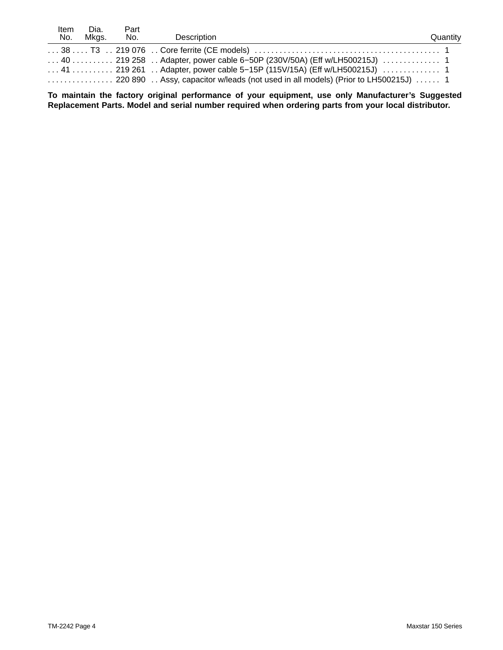| Item<br>No. | Dia.<br>Mkas. | Part<br>No. | Description                                                                                                                  | Quantity |
|-------------|---------------|-------------|------------------------------------------------------------------------------------------------------------------------------|----------|
|             |               |             |                                                                                                                              |          |
|             |               |             | $\ldots$ 40 $\ldots$ , $\ldots$ 219 258 $\ldots$ Adapter, power cable 6–50P (230V/50A) (Eff w/LH500215J) $\ldots$ , $\ldots$ |          |
|             |               |             |                                                                                                                              |          |
|             |               |             |                                                                                                                              |          |

**To maintain the factory original performance of your equipment, use only Manufacturer's Suggested Replacement Parts. Model and serial number required when ordering parts from your local distributor.**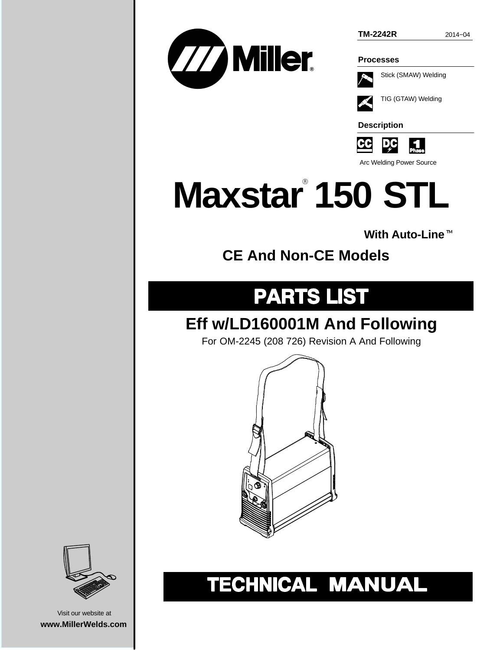**TM-2242R** 2014−04



**Processes**



TIG (GTAW) Welding

**Description**



Arc Welding Power Source

# **Maxstar 150 STL** -

**With Auto-Line**-

**CE And Non-CE Models**

### **PARTS LIST**

### **Eff w/LD160001M And Following**

For OM-2245 (208 726) Revision A And Following







Visit our website at **www.MillerWelds.com**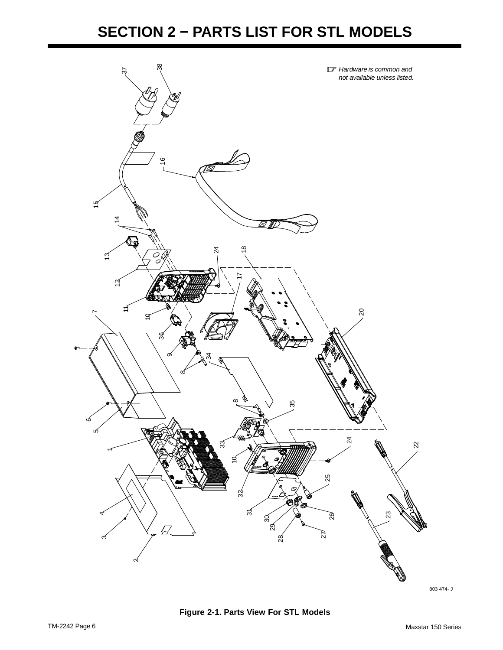

803 474- J

**Figure 2-1. Parts View For STL Models**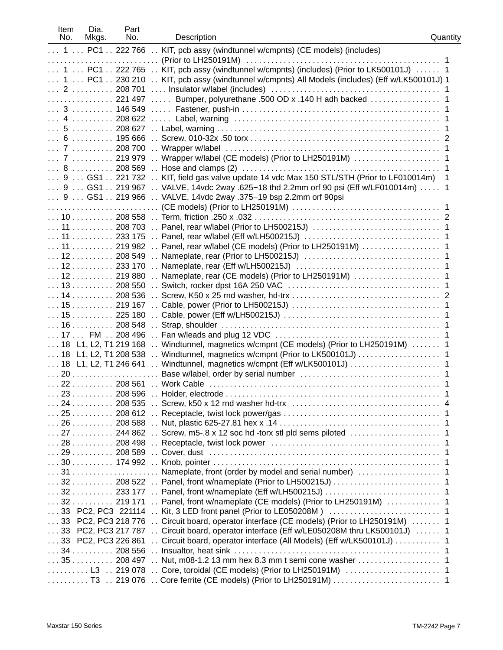| Item<br>No. | Dia.<br>Mkgs.                                     | Part<br>No. | Description                                                                                                                                      | Quantity |
|-------------|---------------------------------------------------|-------------|--------------------------------------------------------------------------------------------------------------------------------------------------|----------|
|             |                                                   |             | 1  PC1  222 766  KIT, pcb assy (windtunnel w/cmpnts) (CE models) (includes)<br>$\sim$                                                            |          |
|             | $\ldots$ 1 $\ldots$ PC1 $\ldots$ 222 765          |             | KIT, pcb assy (windtunnel w/cmpnts) (includes) (Prior to LK500101J)  1                                                                           |          |
|             | $\ldots$ 1 $\ldots$ PC1 $\ldots$ 230 210          |             | KIT, pcb assy (windtunnel w/cmpnts) All Models (includes) (Eff w/LK500101J) 1                                                                    |          |
|             | $\ldots$ 2 $\ldots$ 208 701                       |             |                                                                                                                                                  |          |
|             |                                                   |             | 221 497  Bumper, polyurethane .500 OD x .140 H adh backed  1                                                                                     |          |
|             |                                                   |             |                                                                                                                                                  |          |
|             |                                                   |             |                                                                                                                                                  |          |
|             |                                                   |             |                                                                                                                                                  |          |
|             | $\ldots$ 6 $\ldots$ 195666                        |             |                                                                                                                                                  |          |
|             | $\ldots$ 7 $\ldots$ 208 700                       |             |                                                                                                                                                  |          |
|             | $\ldots$ 7 $\ldots$ 219 979                       |             |                                                                                                                                                  |          |
|             |                                                   |             |                                                                                                                                                  |          |
|             |                                                   |             | $\ldots$ 9 $\ldots$ GS1 $\ldots$ 221 732 $\ldots$ KIT, field gas valve update 14 vdc Max 150 STL/STH (Prior to LF010014m)                        |          |
|             |                                                   |             | 9  GS1  219 967  VALVE, 14vdc 2way .625-18 thd 2.2mm orf 90 psi (Eff w/LF010014m)  1                                                             |          |
|             | $\ldots$ 9 $\ldots$ GS1 $\ldots$ 219 966 $\ldots$ |             | VALVE, 14vdc 2way .375-19 bsp 2.2mm orf 90psi                                                                                                    |          |
|             |                                                   |             |                                                                                                                                                  |          |
|             | $\ldots$ 10 $\ldots$ 208 558                      |             | $\sim$                                                                                                                                           |          |
|             | $\ldots$ 11 $\ldots$ 208 703                      |             | $\ddot{\phantom{a}}$                                                                                                                             |          |
|             | $\ldots$ 11 $\ldots$ 233 175                      |             | $\ddot{\phantom{a}}$                                                                                                                             |          |
|             | $\ldots$ 11 $\ldots$ 219 982                      |             | $\sim$                                                                                                                                           |          |
|             | $\ldots$ 12 $\ldots$ 208 549                      |             | $\ddot{\phantom{a}}$                                                                                                                             |          |
|             | $\ldots$ 12 $\ldots$ 233 170                      |             | $\ddot{\phantom{a}}$                                                                                                                             |          |
|             | $\ldots$ 12 $\ldots$ 219 880                      |             | $\ddot{\phantom{a}}$                                                                                                                             |          |
|             | $\ldots$ 13 $\ldots$ 208 550                      |             | $\ddot{\phantom{a}}$                                                                                                                             |          |
|             | $\ldots$ 14 $\ldots$ 208 536                      |             |                                                                                                                                                  |          |
|             | $\ldots$ 15 $\ldots$ 219 167                      |             |                                                                                                                                                  |          |
|             | $\ldots$ 15 $\ldots$ 225 180                      |             | $\ddot{\phantom{0}}$                                                                                                                             |          |
|             | $\ldots$ 16 $\ldots$ 208 548                      |             | $\ddot{\phantom{a}}$                                                                                                                             |          |
|             | $\ldots$ 17 $\ldots$ FM $\ldots$ 208 496          |             | $\ddot{\phantom{a}}$                                                                                                                             |          |
|             | 18 L1, L2, T1 219 168                             |             | Windtunnel, magnetics w/cmpnt (CE models) (Prior to LH250191M)<br>$\ddot{\phantom{a}}$                                                           |          |
|             | $\ldots$ 18 L1, L2, T1 208 538                    |             | Windtunnel, magnetics w/cmpnt (Prior to LK500101J)<br>$\ddot{\phantom{a}}$                                                                       |          |
|             | 18 L1, L2, T1 246 641                             |             |                                                                                                                                                  |          |
|             |                                                   |             |                                                                                                                                                  |          |
|             | $\ldots$ 22 $\ldots$ 208 561                      |             |                                                                                                                                                  |          |
|             |                                                   |             |                                                                                                                                                  |          |
|             |                                                   |             |                                                                                                                                                  |          |
|             |                                                   |             |                                                                                                                                                  |          |
|             |                                                   |             |                                                                                                                                                  |          |
|             |                                                   |             | $\ldots$ 27 $\ldots$ , $\ldots$ 244 862 $\ldots$ Screw, m5-.8 x 12 soc hd -torx stl pld sems piloted $\ldots$ , $\ldots$ , $\ldots$ , $\ldots$ , |          |
|             | $\ldots$ 28 $\ldots$ 208 498                      |             | $\sim$                                                                                                                                           |          |
|             | $\ldots$ 29 $\ldots$ 208 589                      |             | $\sim$                                                                                                                                           |          |
|             | $\ldots$ 30 $\ldots$ 174 992 $\ldots$             |             |                                                                                                                                                  |          |
|             |                                                   |             |                                                                                                                                                  |          |
|             | $\ldots$ 32 $\ldots$ 208 522                      |             | $\mathbf{r}$                                                                                                                                     |          |
|             | $\ldots$ 32 $\ldots$ 233 177                      |             |                                                                                                                                                  |          |
|             | $\ldots$ 32 $\ldots$ 219 171                      |             | Panel, front w/nameplate (CE models) (Prior to LH250191M)  1                                                                                     |          |
|             | 33 PC2, PC3 221114                                |             |                                                                                                                                                  |          |
|             | 33 PC2, PC3 218 776                               |             | Circuit board, operator interface (CE models) (Prior to LH250191M)  1                                                                            |          |
|             | 33 PC2, PC3 217 787                               |             | Circuit board, operator interface (Eff w/LE050208M thru LK500101J)  1                                                                            |          |
|             | 33 PC2, PC3 226 861                               |             | Circuit board, operator interface (All Models) (Eff w/LK500101J)  1                                                                              |          |
|             | $\ldots$ 34 $\ldots$ 208 556                      |             |                                                                                                                                                  |          |
|             | $\ldots$ 35 $\ldots$ 208 497                      |             |                                                                                                                                                  |          |
|             | $\ldots \ldots \ldots$ L3 $\ldots$ 219 078        |             |                                                                                                                                                  |          |
|             | $\ldots \ldots \ldots$ T3 $\ldots$ 219 076        |             |                                                                                                                                                  |          |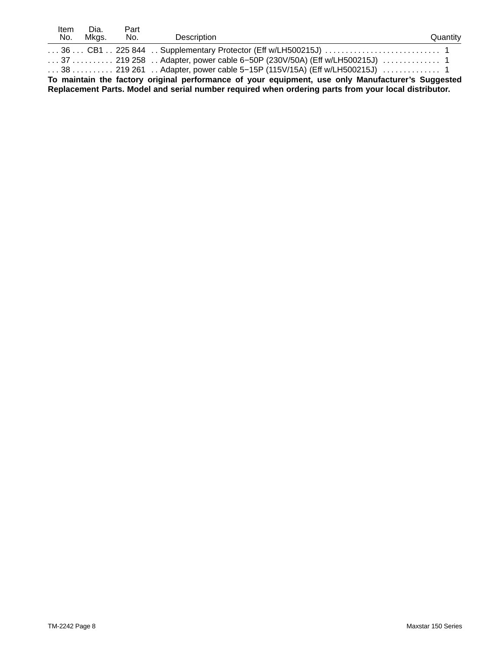| ltem                                                                                                 | Dia.  | Part |                                                                                                                                       |          |  |
|------------------------------------------------------------------------------------------------------|-------|------|---------------------------------------------------------------------------------------------------------------------------------------|----------|--|
| No.                                                                                                  | Mkas. | No.  | Description                                                                                                                           | Quantity |  |
|                                                                                                      |       |      |                                                                                                                                       |          |  |
|                                                                                                      |       |      | $\ldots$ 37 $\ldots$ , $\ldots$ 219 258 $\ldots$ Adapter, power cable 6–50P (230V/50A) (Eff w/LH500215J) $\ldots$ , $\ldots$          |          |  |
|                                                                                                      |       |      | $\ldots$ 38 $\ldots$ $\ldots$ . 219 261 $\ldots$ Adapter, power cable 5–15P (115V/15A) (Eff w/LH500215J) $\ldots$ $\ldots$ $\ldots$ 1 |          |  |
| To maintain the factory original performance of your equipment, use only Manufacturer's Suggested    |       |      |                                                                                                                                       |          |  |
| Replacement Parts. Model and serial number required when ordering parts from your local distributor. |       |      |                                                                                                                                       |          |  |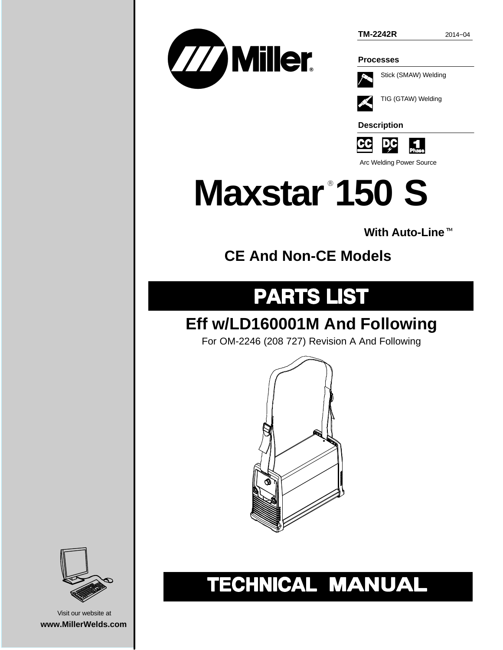

**TM-2242R** 2014−04

**Processes**

Stick (SMAW) Welding

TIG (GTAW) Welding

**Description**

<u>p</u>c <u>CC</u> IJ

Arc Welding Power Source

## **Maxstar 150 S** -

## **With Auto-Line**-

### **CE And Non-CE Models**

### **PARTS LIST**

### **Eff w/LD160001M And Following**

For OM-2246 (208 727) Revision A And Following



## TECHNICAL MANUAL



Visit our website at **www.MillerWelds.com**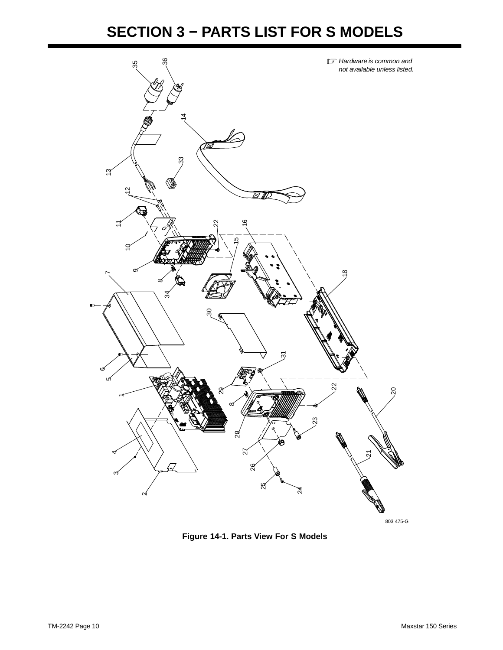#### **SECTION 3 − PARTS LIST FOR S MODELS**



**Figure 14-1. Parts View For S Models**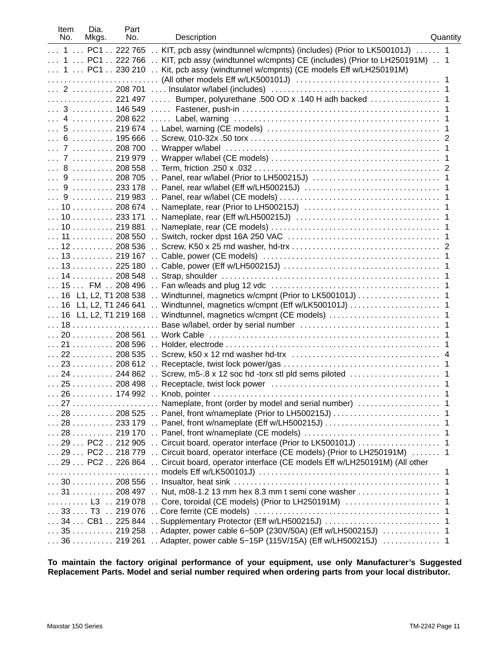| Item<br>No. | Dia.<br>Mkgs.                                      | Part<br>No. | Description                                                                           | Quantity |
|-------------|----------------------------------------------------|-------------|---------------------------------------------------------------------------------------|----------|
|             | $\ldots$ 1 $\ldots$ PC1 $\ldots$ 222 765           |             | KIT, pcb assy (windtunnel w/cmpnts) (includes) (Prior to LK500101J)  1                |          |
|             | $\ldots$ 1 $\ldots$ PC1 $\ldots$ 222 766           |             | KIT, pcb assy (windtunnel w/cmpnts) CE (includes) (Prior to LH250191M)  1             |          |
|             |                                                    |             | 1  PC1  230 210  Kit, pcb assy (windtunnel w/cmpnts) (CE models Eff w/LH250191M)      |          |
|             |                                                    |             |                                                                                       |          |
|             |                                                    |             |                                                                                       |          |
|             |                                                    |             |                                                                                       |          |
|             |                                                    |             |                                                                                       |          |
|             |                                                    |             |                                                                                       |          |
|             |                                                    |             |                                                                                       |          |
|             |                                                    |             |                                                                                       |          |
|             | $\ldots$ 7 $\ldots$ 208 700                        |             |                                                                                       |          |
|             | $\ldots$ 7 $\ldots$ 219 979                        |             |                                                                                       |          |
|             | $\ldots 8 \ldots \ldots \ldots 208558$             |             |                                                                                       |          |
|             | $\ldots$ 9 $\ldots$ 208 705                        |             |                                                                                       |          |
|             | $\ldots$ 9 $\ldots$ 233 178                        |             |                                                                                       |          |
|             | $\ldots$ 9 $\ldots$ 219 983                        |             |                                                                                       |          |
|             | $\ldots$ 10 $\ldots$ 208 674                       |             |                                                                                       |          |
|             | $\ldots$ 10 $\ldots$ $\ldots$ 233 171              |             |                                                                                       |          |
|             | $\ldots$ 10 $\ldots$ 219 881                       |             |                                                                                       |          |
|             | $\ldots$ 11 $\ldots$ 208 550                       |             |                                                                                       |          |
|             | $\ldots$ 12 $\ldots$ 208 536                       |             |                                                                                       |          |
|             | $\ldots$ 13 $\ldots$ 219 167                       |             | $\ddot{\phantom{a}}$                                                                  |          |
|             | $\ldots$ 13 $\ldots$ 225 180                       |             |                                                                                       |          |
|             | $\ldots$ 14 $\ldots$ 208 548                       |             |                                                                                       |          |
|             | $\ldots$ 15 $\ldots$ FM $\ldots$ 208 496           |             |                                                                                       |          |
|             | $\ldots$ 16 L1, L2, T1 208 538                     |             |                                                                                       |          |
|             | 16 L1, L2, T1 246 641                              |             | Windtunnel, magnetics w/cmpnt (Eff w/LK500101J)  1                                    |          |
|             | $\ldots$ 16 L1, L2, T1 219 168                     |             |                                                                                       |          |
|             |                                                    |             |                                                                                       |          |
|             | $\ldots$ 20 $\ldots$ 208 561                       |             |                                                                                       |          |
|             | $\ldots$ 21 $\ldots$ 208 596                       |             |                                                                                       |          |
|             | $\ldots$ 22 $\ldots$ 208 535                       |             |                                                                                       |          |
|             |                                                    |             |                                                                                       |          |
|             |                                                    |             |                                                                                       |          |
|             |                                                    |             |                                                                                       |          |
|             |                                                    |             |                                                                                       |          |
|             |                                                    |             |                                                                                       |          |
|             |                                                    |             | 28  208 525  Panel, front w/nameplate (Prior to LH500215J)                            |          |
|             |                                                    |             |                                                                                       |          |
|             | $\ldots$ 28 $\ldots$ 219 170                       |             |                                                                                       |          |
|             |                                                    |             | 29 PC2 212 905  Circuit board, operator interface (Prior to LK500101J)  1             |          |
|             |                                                    |             | 29 PC2 218 779  Circuit board, operator interface (CE models) (Prior to LH250191M)  1 |          |
|             | $\ldots$ 29 $\ldots$ PC2 $\ldots$ 226 864 $\ldots$ |             | Circuit board, operator interface (CE models Eff w/LH250191M) (All other              |          |
|             |                                                    |             |                                                                                       |          |
|             |                                                    |             |                                                                                       |          |
|             | $\ldots$ 31 $\ldots$ 208 497                       |             | $\mathbf{r}$ .                                                                        |          |
|             | $\ldots \ldots \ldots$ L3 $\ldots$ 219 078         |             | Core, toroidal (CE models) (Prior to LH250191M)  1                                    |          |
|             | $\ldots$ 33 $\ldots$ T3 $\ldots$ 219 076           |             |                                                                                       |          |
|             | $\ldots$ 34 $\ldots$ CB1 $\ldots$ 225 844          |             |                                                                                       |          |
|             | $\ldots$ 35 $\ldots$ 219 258                       |             | Adapter, power cable 6-50P (230V/50A) (Eff w/LH500215J)  1                            |          |
|             | $\ldots$ 36 $\ldots$ 219 261                       |             |                                                                                       |          |

**To maintain the factory original performance of your equipment, use only Manufacturer's Suggested Replacement Parts. Model and serial number required when ordering parts from your local distributor.**